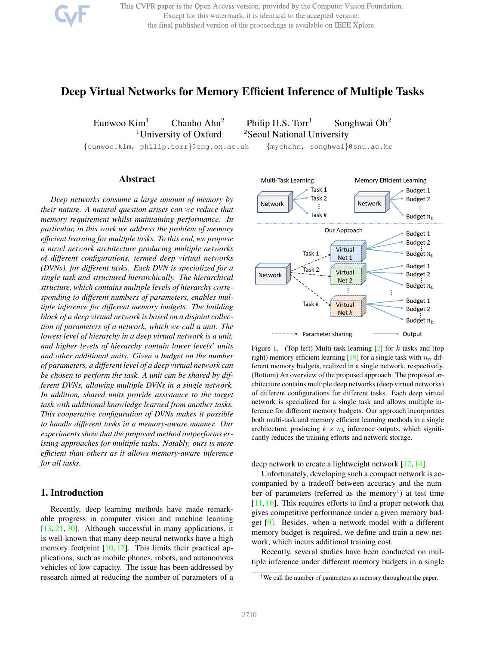This CVPR paper is the Open Access version, provided by the Computer Vision Foundation. Except for this watermark, it is identical to the accepted version; the final published version of the proceedings is available on IEEE Xplore.

# Deep Virtual Networks for Memory Efficient Inference of Multiple Tasks

Eunwoo Kim<sup>1</sup> Chanho Ahn<sup>2</sup> Philip H.S. Torr<sup>1</sup> Songhwai Oh<sup>2</sup>

<sup>1</sup>University of Oxford  $2$ Seoul National University

{eunwoo.kim, philip.torr}@eng.ox.ac.uk {mychahn, songhwai}@snu.ac.kr

## Abstract

*Deep networks consume a large amount of memory by their nature. A natural question arises can we reduce that memory requirement whilst maintaining performance. In particular, in this work we address the problem of memory efficient learning for multiple tasks. To this end, we propose a novel network architecture producing multiple networks of different configurations, termed deep virtual networks (DVNs), for different tasks. Each DVN is specialized for a single task and structured hierarchically. The hierarchical structure, which contains multiple levels of hierarchy corresponding to different numbers of parameters, enables multiple inference for different memory budgets. The building block of a deep virtual network is based on a disjoint collection of parameters of a network, which we call a unit. The lowest level of hierarchy in a deep virtual network is a unit, and higher levels of hierarchy contain lower levels' units and other additional units. Given a budget on the number of parameters, a different level of a deep virtual network can be chosen to perform the task. A unit can be shared by different DVNs, allowing multiple DVNs in a single network. In addition, shared units provide assistance to the target task with additional knowledge learned from another tasks. This cooperative configuration of DVNs makes it possible to handle different tasks in a memory-aware manner. Our experiments show that the proposed method outperforms existing approaches for multiple tasks. Notably, ours is more efficient than others as it allows memory-aware inference for all tasks.*

## 1. Introduction

Recently, deep learning methods have made remarkable progress in computer vision and machine learning [13, 21, 30]. Although successful in many applications, it is well-known that many deep neural networks have a high memory footprint  $[10, 17]$ . This limits their practical applications, such as mobile phones, robots, and autonomous vehicles of low capacity. The issue has been addressed by research aimed at reducing the number of parameters of a



Figure 1. (Top left) Multi-task learning  $[2]$  for k tasks and (top right) memory efficient learning [19] for a single task with  $n_h$  different memory budgets, realized in a single network, respectively. (Bottom) An overview of the proposed approach. The proposed architecture contains multiple deep networks (deep virtual networks) of different configurations for different tasks. Each deep virtual network is specialized for a single task and allows multiple inference for different memory budgets. Our approach incorporates both multi-task and memory efficient learning methods in a single architecture, producing  $k \times n_h$  inference outputs, which significantly reduces the training efforts and network storage.

deep network to create a lightweight network [12, 14].

Unfortunately, developing such a compact network is accompanied by a tradeoff between accuracy and the number of parameters (referred as the memory<sup>1</sup>) at test time [11, 16]. This requires efforts to find a proper network that gives competitive performance under a given memory budget [9]. Besides, when a network model with a different memory budget is required, we define and train a new network, which incurs additional training cost.

Recently, several studies have been conducted on multiple inference under different memory budgets in a single

<sup>&</sup>lt;sup>1</sup>We call the number of parameters as memory throughout the paper.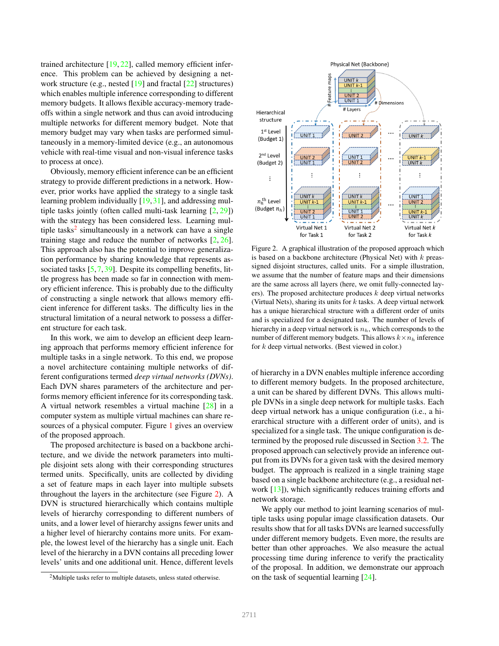trained architecture [19, 22], called memory efficient inference. This problem can be achieved by designing a network structure (e.g., nested [19] and fractal [22] structures) which enables multiple inference corresponding to different memory budgets. It allows flexible accuracy-memory tradeoffs within a single network and thus can avoid introducing multiple networks for different memory budget. Note that memory budget may vary when tasks are performed simultaneously in a memory-limited device (e.g., an autonomous vehicle with real-time visual and non-visual inference tasks to process at once).

Obviously, memory efficient inference can be an efficient strategy to provide different predictions in a network. However, prior works have applied the strategy to a single task learning problem individually [19,31], and addressing multiple tasks jointly (often called multi-task learning [2, 29]) with the strategy has been considered less. Learning multiple tasks<sup>2</sup> simultaneously in a network can have a single training stage and reduce the number of networks [2, 26]. This approach also has the potential to improve generalization performance by sharing knowledge that represents associated tasks [5,7,39]. Despite its compelling benefits, little progress has been made so far in connection with memory efficient inference. This is probably due to the difficulty of constructing a single network that allows memory efficient inference for different tasks. The difficulty lies in the structural limitation of a neural network to possess a different structure for each task.

In this work, we aim to develop an efficient deep learning approach that performs memory efficient inference for multiple tasks in a single network. To this end, we propose a novel architecture containing multiple networks of different configurations termed *deep virtual networks (DVNs)*. Each DVN shares parameters of the architecture and performs memory efficient inference for its corresponding task. A virtual network resembles a virtual machine [28] in a computer system as multiple virtual machines can share resources of a physical computer. Figure 1 gives an overview of the proposed approach.

The proposed architecture is based on a backbone architecture, and we divide the network parameters into multiple disjoint sets along with their corresponding structures termed units. Specifically, units are collected by dividing a set of feature maps in each layer into multiple subsets throughout the layers in the architecture (see Figure 2). A DVN is structured hierarchically which contains multiple levels of hierarchy corresponding to different numbers of units, and a lower level of hierarchy assigns fewer units and a higher level of hierarchy contains more units. For example, the lowest level of the hierarchy has a single unit. Each level of the hierarchy in a DVN contains all preceding lower levels' units and one additional unit. Hence, different levels



Figure 2. A graphical illustration of the proposed approach which is based on a backbone architecture (Physical Net) with  $k$  preassigned disjoint structures, called units. For a simple illustration, we assume that the number of feature maps and their dimensions are the same across all layers (here, we omit fully-connected layers). The proposed architecture produces  $k$  deep virtual networks (Virtual Nets), sharing its units for  $k$  tasks. A deep virtual network has a unique hierarchical structure with a different order of units and is specialized for a designated task. The number of levels of hierarchy in a deep virtual network is  $n<sub>h</sub>$ , which corresponds to the number of different memory budgets. This allows  $k \times n_h$  inference for k deep virtual networks. (Best viewed in color.)

of hierarchy in a DVN enables multiple inference according to different memory budgets. In the proposed architecture, a unit can be shared by different DVNs. This allows multiple DVNs in a single deep network for multiple tasks. Each deep virtual network has a unique configuration (i.e., a hierarchical structure with a different order of units), and is specialized for a single task. The unique configuration is determined by the proposed rule discussed in Section 3.2. The proposed approach can selectively provide an inference output from its DVNs for a given task with the desired memory budget. The approach is realized in a single training stage based on a single backbone architecture (e.g., a residual network [13]), which significantly reduces training efforts and network storage.

We apply our method to joint learning scenarios of multiple tasks using popular image classification datasets. Our results show that for all tasks DVNs are learned successfully under different memory budgets. Even more, the results are better than other approaches. We also measure the actual processing time during inference to verify the practicality of the proposal. In addition, we demonstrate our approach on the task of sequential learning [24].

<sup>2</sup>Multiple tasks refer to multiple datasets, unless stated otherwise.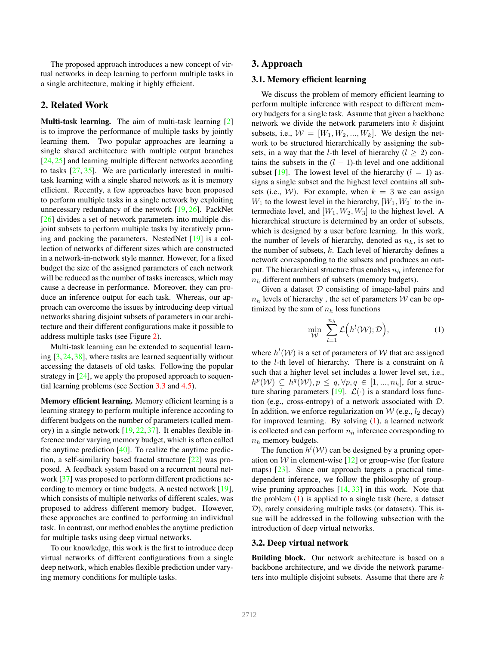The proposed approach introduces a new concept of virtual networks in deep learning to perform multiple tasks in a single architecture, making it highly efficient.

#### 2. Related Work

Multi-task learning. The aim of multi-task learning [2] is to improve the performance of multiple tasks by jointly learning them. Two popular approaches are learning a single shared architecture with multiple output branches [24, 25] and learning multiple different networks according to tasks [27, 35]. We are particularly interested in multitask learning with a single shared network as it is memory efficient. Recently, a few approaches have been proposed to perform multiple tasks in a single network by exploiting unnecessary redundancy of the network [19, 26]. PackNet [26] divides a set of network parameters into multiple disjoint subsets to perform multiple tasks by iteratively pruning and packing the parameters. NestedNet [19] is a collection of networks of different sizes which are constructed in a network-in-network style manner. However, for a fixed budget the size of the assigned parameters of each network will be reduced as the number of tasks increases, which may cause a decrease in performance. Moreover, they can produce an inference output for each task. Whereas, our approach can overcome the issues by introducing deep virtual networks sharing disjoint subsets of parameters in our architecture and their different configurations make it possible to address multiple tasks (see Figure 2).

Multi-task learning can be extended to sequential learning [3, 24, 38], where tasks are learned sequentially without accessing the datasets of old tasks. Following the popular strategy in [24], we apply the proposed approach to sequential learning problems (see Section 3.3 and 4.5).

Memory efficient learning. Memory efficient learning is a learning strategy to perform multiple inference according to different budgets on the number of parameters (called memory) in a single network [19, 22, 37]. It enables flexible inference under varying memory budget, which is often called the anytime prediction  $[40]$ . To realize the anytime prediction, a self-similarity based fractal structure [22] was proposed. A feedback system based on a recurrent neural network [37] was proposed to perform different predictions according to memory or time budgets. A nested network [19], which consists of multiple networks of different scales, was proposed to address different memory budget. However, these approaches are confined to performing an individual task. In contrast, our method enables the anytime prediction for multiple tasks using deep virtual networks.

To our knowledge, this work is the first to introduce deep virtual networks of different configurations from a single deep network, which enables flexible prediction under varying memory conditions for multiple tasks.

### 3. Approach

## 3.1. Memory efficient learning

We discuss the problem of memory efficient learning to perform multiple inference with respect to different memory budgets for a single task. Assume that given a backbone network we divide the network parameters into  $k$  disjoint subsets, i.e.,  $W = [W_1, W_2, ..., W_k]$ . We design the network to be structured hierarchically by assigning the subsets, in a way that the *l*-th level of hierarchy ( $l \geq 2$ ) contains the subsets in the  $(l - 1)$ -th level and one additional subset [19]. The lowest level of the hierarchy  $(l = 1)$  assigns a single subset and the highest level contains all subsets (i.e., W). For example, when  $k = 3$  we can assign  $W_1$  to the lowest level in the hierarchy,  $[W_1, W_2]$  to the intermediate level, and  $[W_1, W_2, W_3]$  to the highest level. A hierarchical structure is determined by an order of subsets, which is designed by a user before learning. In this work, the number of levels of hierarchy, denoted as  $n_h$ , is set to the number of subsets,  $k$ . Each level of hierarchy defines a network corresponding to the subsets and produces an output. The hierarchical structure thus enables  $n_h$  inference for  $n_h$  different numbers of subsets (memory budgets).

Given a dataset  $D$  consisting of image-label pairs and  $n_h$  levels of hierarchy, the set of parameters W can be optimized by the sum of  $n_h$  loss functions

$$
\min_{\mathcal{W}} \sum_{l=1}^{n_h} \mathcal{L}\Big(h^l(\mathcal{W}); \mathcal{D}\Big),\tag{1}
$$

where  $h^l(\mathcal{W})$  is a set of parameters of W that are assigned to the *l*-th level of hierarchy. There is a constraint on  $h$ such that a higher level set includes a lower level set, i.e.,  $h^p(\mathcal{W}) \subseteq h^q(\mathcal{W}), p \leq q, \forall p, q \in [1, ..., n_h],$  for a structure sharing parameters [19].  $\mathcal{L}(\cdot)$  is a standard loss function (e.g., cross-entropy) of a network associated with D. In addition, we enforce regularization on  $W$  (e.g.,  $l_2$  decay) for improved learning. By solving  $(1)$ , a learned network is collected and can perform  $n_h$  inference corresponding to  $n_h$  memory budgets.

The function  $h^l(\mathcal{W})$  can be designed by a pruning operation on W in element-wise  $[12]$  or group-wise (for feature maps) [23]. Since our approach targets a practical timedependent inference, we follow the philosophy of groupwise pruning approaches  $[14, 33]$  in this work. Note that the problem (1) is applied to a single task (here, a dataset  $(D)$ , rarely considering multiple tasks (or datasets). This issue will be addressed in the following subsection with the introduction of deep virtual networks.

#### 3.2. Deep virtual network

Building block. Our network architecture is based on a backbone architecture, and we divide the network parameters into multiple disjoint subsets. Assume that there are  $k$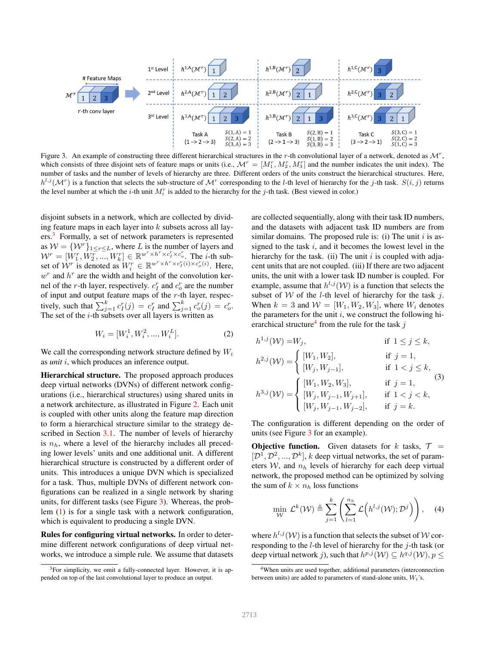

Figure 3. An example of constructing three different hierarchical structures in the r-th convolutional layer of a network, denoted as  $\mathcal{M}^r$ , which consists of three disjoint sets of feature maps or units (i.e.,  $\mathcal{M}^r = [M_1^r, M_2^r, M_3^r]$  and the number indicates the unit index). The number of tasks and the number of levels of hierarchy are three. Different orders of the units construct the hierarchical structures. Here,  $h^{l,j}(\mathcal{M}^r)$  is a function that selects the sub-structure of  $\mathcal{M}^r$  corresponding to the *l*-th level of hierarchy for the *j*-th task.  $S(i, j)$  returns the level number at which the *i*-th unit  $M_i^r$  is added to the hierarchy for the *j*-th task. (Best viewed in color.)

disjoint subsets in a network, which are collected by dividing feature maps in each layer into  $k$  subsets across all layers.<sup>3</sup> Formally, a set of network parameters is represented as  $W = \{W^r\}_{1 \leq r \leq L}$ , where L is the number of layers and  $W^r = [W_1^r, W_2^r, ..., W_k^r] \in \mathbb{R}^{w^r \times h^r \times c_i^r \times c_v^r}$ . The *i*-th subset of  $\mathcal{W}^r$  is denoted as  $W_i^r \in \mathbb{R}^{w^r \times h^r \times c_I^r(i) \times c_o^r(i)}$ . Here,  $w<sup>r</sup>$  and  $h<sup>r</sup>$  are the width and height of the convolution kernel of the *r*-th layer, respectively.  $c<sub>I</sub><sup>r</sup>$  and  $c<sub>o</sub><sup>r</sup>$  are the number of input and output feature maps of the  $r$ -th layer, respectively, such that  $\sum_{j=1}^{k} c_I^r(j) = c_I^r$  and  $\sum_{j=1}^{k} c_o^r(j) = c_o^r$ . The set of the  $i$ -th subsets over all layers is written as

$$
W_i = [W_i^1, W_i^2, ..., W_i^L].
$$
 (2)

We call the corresponding network structure defined by  $W_i$ as *unit* i, which produces an inference output.

Hierarchical structure. The proposed approach produces deep virtual networks (DVNs) of different network configurations (i.e., hierarchical structures) using shared units in a network architecture, as illustrated in Figure 2. Each unit is coupled with other units along the feature map direction to form a hierarchical structure similar to the strategy described in Section 3.1. The number of levels of hierarchy is  $n_h$ , where a level of the hierarchy includes all preceding lower levels' units and one additional unit. A different hierarchical structure is constructed by a different order of units. This introduces a unique DVN which is specialized for a task. Thus, multiple DVNs of different network configurations can be realized in a single network by sharing units, for different tasks (see Figure 3). Whereas, the problem (1) is for a single task with a network configuration, which is equivalent to producing a single DVN.

Rules for configuring virtual networks. In order to determine different network configurations of deep virtual networks, we introduce a simple rule. We assume that datasets are collected sequentially, along with their task ID numbers, and the datasets with adjacent task ID numbers are from similar domains. The proposed rule is: (i) The unit  $i$  is assigned to the task  $i$ , and it becomes the lowest level in the hierarchy for the task. (ii) The unit  $i$  is coupled with adjacent units that are not coupled. (iii) If there are two adjacent units, the unit with a lower task ID number is coupled. For example, assume that  $h^{l,j}(\mathcal{W})$  is a function that selects the subset of  $W$  of the *l*-th level of hierarchy for the task  $j$ . When  $k = 3$  and  $W = [W_1, W_2, W_3]$ , where  $W_i$  denotes the parameters for the unit  $i$ , we construct the following hierarchical structure<sup>4</sup> from the rule for the task j

h <sup>1</sup>,j (W) =W<sup>j</sup> , if 1 ≤ j ≤ k, h <sup>2</sup>,j (W) = ( [W1, W2], if j = 1, [W<sup>j</sup> , Wj−1], if 1 < j ≤ k, h <sup>3</sup>,j (W) = [W1, W2, W3], if j = 1, [W<sup>j</sup> , Wj−1, W<sup>j</sup>+1], if 1 < j < k, [W<sup>j</sup> , Wj−1, Wj−2], if j = k. (3)

The configuration is different depending on the order of units (see Figure 3 for an example).

**Objective function.** Given datasets for k tasks,  $T =$  $[\mathcal{D}^1, \mathcal{D}^2, ..., \mathcal{D}^k]$ , k deep virtual networks, the set of parameters  $W$ , and  $n_h$  levels of hierarchy for each deep virtual network, the proposed method can be optimized by solving the sum of  $k \times n_h$  loss functions

$$
\min_{\mathcal{W}} \mathcal{L}^{k}(\mathcal{W}) \triangleq \sum_{j=1}^{k} \left( \sum_{l=1}^{n_h} \mathcal{L}\left(h^{l,j}(\mathcal{W}); \mathcal{D}^{j}\right) \right), \quad (4)
$$

where  $h^{l,j}(\mathcal{W})$  is a function that selects the subset of  $\mathcal W$  corresponding to the  $l$ -th level of hierarchy for the  $j$ -th task (or deep virtual network j), such that  $h^{p,j}(\mathcal{W}) \subseteq h^{q,j}(\mathcal{W}), p \leq$ 

 $3$ For simplicity, we omit a fully-connected layer. However, it is appended on top of the last convolutional layer to produce an output.

<sup>4</sup>When units are used together, additional parameters (interconnection between units) are added to parameters of stand-alone units,  $W_i$ 's.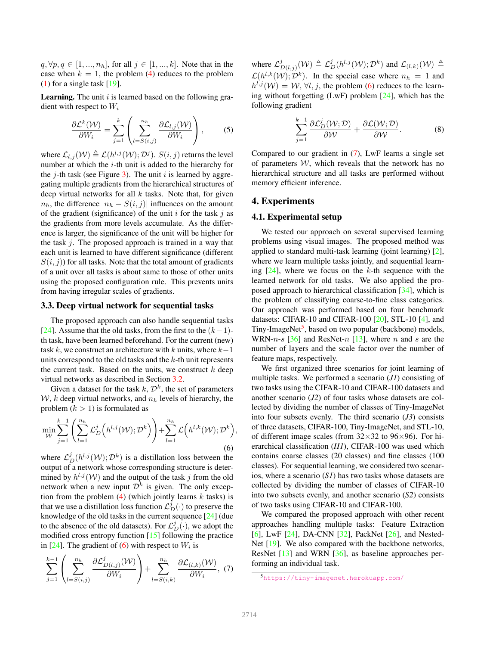$q, \forall p, q \in [1, ..., n_h],$  for all  $j \in [1, ..., k]$ . Note that in the case when  $k = 1$ , the problem (4) reduces to the problem (1) for a single task [19].

**Learning.** The unit  $i$  is learned based on the following gradient with respect to  $W_i$ 

$$
\frac{\partial \mathcal{L}^k(\mathcal{W})}{\partial W_i} = \sum_{j=1}^k \left( \sum_{l=S(i,j)}^{n_h} \frac{\partial \mathcal{L}_{l,j}(\mathcal{W})}{\partial W_i} \right),\tag{5}
$$

where  $\mathcal{L}_{l,j}(\mathcal{W}) \triangleq \mathcal{L}(h^{l,j}(\mathcal{W}); \mathcal{D}^j)$ .  $S(i,j)$  returns the level number at which the i-th unit is added to the hierarchy for the *j*-th task (see Figure 3). The unit *i* is learned by aggregating multiple gradients from the hierarchical structures of deep virtual networks for all  $k$  tasks. Note that, for given  $n_h$ , the difference  $|n_h - S(i, j)|$  influences on the amount of the gradient (significance) of the unit  $i$  for the task  $j$  as the gradients from more levels accumulate. As the difference is larger, the significance of the unit will be higher for the task  $j$ . The proposed approach is trained in a way that each unit is learned to have different significance (different  $S(i, j)$  for all tasks. Note that the total amount of gradients of a unit over all tasks is about same to those of other units using the proposed configuration rule. This prevents units from having irregular scales of gradients.

#### 3.3. Deep virtual network for sequential tasks

The proposed approach can also handle sequential tasks [24]. Assume that the old tasks, from the first to the  $(k-1)$ th task, have been learned beforehand. For the current (new) task k, we construct an architecture with k units, where  $k-1$ units correspond to the old tasks and the  $k$ -th unit represents the current task. Based on the units, we construct  $k$  deep virtual networks as described in Section 3.2.

Given a dataset for the task  $k$ ,  $\mathcal{D}^k$ , the set of parameters  $W$ , k deep virtual networks, and  $n_h$  levels of hierarchy, the problem  $(k > 1)$  is formulated as

$$
\min_{\mathcal{W}} \sum_{j=1}^{k-1} \left( \sum_{l=1}^{n_h} \mathcal{L}_D^j \left( h^{l,j}(\mathcal{W}); \mathcal{D}^k \right) \right) + \sum_{l=1}^{n_h} \mathcal{L} \left( h^{l,k}(\mathcal{W}); \mathcal{D}^k \right),\tag{6}
$$

where  $\mathcal{L}_{D}^{j}(h^{l,j}(\mathcal{W}); \mathcal{D}^{k})$  is a distillation loss between the output of a network whose corresponding structure is determined by  $h^{l,j}(\mathcal{W})$  and the output of the task j from the old network when a new input  $\mathcal{D}^k$  is given. The only exception from the problem  $(4)$  (which jointly learns k tasks) is that we use a distillation loss function  $\mathcal{L}_D^j(\cdot)$  to preserve the knowledge of the old tasks in the current sequence [24] (due to the absence of the old datasets). For  $\mathcal{L}_D^j(\cdot)$ , we adopt the modified cross entropy function [15] following the practice in [24]. The gradient of (6) with respect to  $W_i$  is

$$
\sum_{j=1}^{k-1} \left( \sum_{l=S(i,j)}^{n_h} \frac{\partial \mathcal{L}_{D(l,j)}^j(\mathcal{W})}{\partial W_i} \right) + \sum_{l=S(i,k)}^{n_h} \frac{\partial \mathcal{L}_{(l,k)}(\mathcal{W})}{\partial W_i}, \tag{7}
$$

where  $\mathcal{L}_I^j$  $\mathcal{L}_{D(l,j)}^{j}(\mathcal{W}) \triangleq \mathcal{L}_D^j(h^{l,j}(\mathcal{W});\mathcal{D}^k)$  and  $\mathcal{L}_{(l,k)}(\mathcal{W}) \triangleq$  $\mathcal{L}(h^{l,k}(\mathcal{W}); \mathcal{D}^k)$ . In the special case where  $n_h = 1$  and  $h^{l,j}(\mathcal{W}) = \mathcal{W}, \forall l, j$ , the problem (6) reduces to the learning without forgetting (LwF) problem [24], which has the following gradient

$$
\sum_{j=1}^{k-1} \frac{\partial \mathcal{L}_D^j(\mathcal{W}; \mathcal{D})}{\partial \mathcal{W}} + \frac{\partial \mathcal{L}(\mathcal{W}; \mathcal{D})}{\partial \mathcal{W}}.
$$
 (8)

Compared to our gradient in (7), LwF learns a single set of parameters  $W$ , which reveals that the network has no hierarchical structure and all tasks are performed without memory efficient inference.

## 4. Experiments

#### 4.1. Experimental setup

We tested our approach on several supervised learning problems using visual images. The proposed method was applied to standard multi-task learning (joint learning) [2], where we learn multiple tasks jointly, and sequential learning  $[24]$ , where we focus on the k-th sequence with the learned network for old tasks. We also applied the proposed approach to hierarchical classification [34], which is the problem of classifying coarse-to-fine class categories. Our approach was performed based on four benchmark datasets: CIFAR-10 and CIFAR-100 [20], STL-10 [4], and Tiny-ImageNet<sup>5</sup>, based on two popular (backbone) models, WRN-n-s  $[36]$  and ResNet-n  $[13]$ , where n and s are the number of layers and the scale factor over the number of feature maps, respectively.

We first organized three scenarios for joint learning of multiple tasks. We performed a scenario (*J1*) consisting of two tasks using the CIFAR-10 and CIFAR-100 datasets and another scenario (*J2*) of four tasks whose datasets are collected by dividing the number of classes of Tiny-ImageNet into four subsets evenly. The third scenario (*J3*) consists of three datasets, CIFAR-100, Tiny-ImageNet, and STL-10, of different image scales (from  $32\times32$  to  $96\times96$ ). For hierarchical classification (*H1*), CIFAR-100 was used which contains coarse classes (20 classes) and fine classes (100 classes). For sequential learning, we considered two scenarios, where a scenario (*S1*) has two tasks whose datasets are collected by dividing the number of classes of CIFAR-10 into two subsets evenly, and another scenario (*S2*) consists of two tasks using CIFAR-10 and CIFAR-100.

We compared the proposed approach with other recent approaches handling multiple tasks: Feature Extraction [6], LwF [24], DA-CNN [32], PackNet [26], and Nested-Net [19]. We also compared with the backbone networks, ResNet [13] and WRN [36], as baseline approaches performing an individual task.

<sup>5</sup>https://tiny-imagenet.herokuapp.com/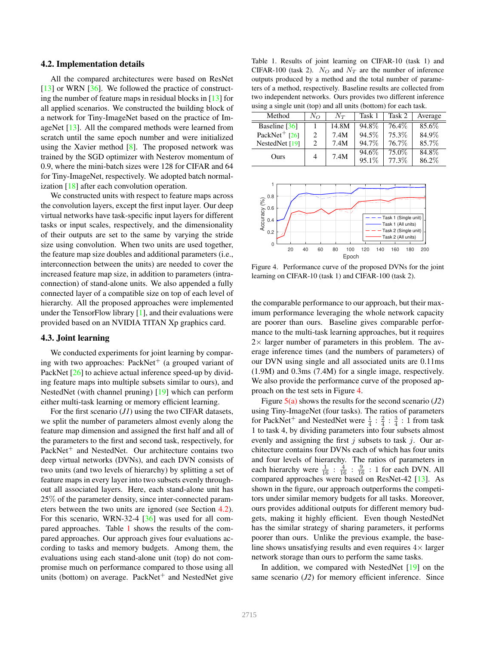#### 4.2. Implementation details

All the compared architectures were based on ResNet [13] or WRN [36]. We followed the practice of constructing the number of feature maps in residual blocks in [13] for all applied scenarios. We constructed the building block of a network for Tiny-ImageNet based on the practice of ImageNet [13]. All the compared methods were learned from scratch until the same epoch number and were initialized using the Xavier method [8]. The proposed network was trained by the SGD optimizer with Nesterov momentum of 0.9, where the mini-batch sizes were 128 for CIFAR and 64 for Tiny-ImageNet, respectively. We adopted batch normalization [18] after each convolution operation.

We constructed units with respect to feature maps across the convolution layers, except the first input layer. Our deep virtual networks have task-specific input layers for different tasks or input scales, respectively, and the dimensionality of their outputs are set to the same by varying the stride size using convolution. When two units are used together, the feature map size doubles and additional parameters (i.e., interconnection between the units) are needed to cover the increased feature map size, in addition to parameters (intraconnection) of stand-alone units. We also appended a fully connected layer of a compatible size on top of each level of hierarchy. All the proposed approaches were implemented under the TensorFlow library [1], and their evaluations were provided based on an NVIDIA TITAN Xp graphics card.

#### 4.3. Joint learning

We conducted experiments for joint learning by comparing with two approaches: PackNet<sup>+</sup> (a grouped variant of PackNet [26] to achieve actual inference speed-up by dividing feature maps into multiple subsets similar to ours), and NestedNet (with channel pruning) [19] which can perform either multi-task learning or memory efficient learning.

For the first scenario (*J1*) using the two CIFAR datasets, we split the number of parameters almost evenly along the feature map dimension and assigned the first half and all of the parameters to the first and second task, respectively, for PackNet<sup>+</sup> and NestedNet. Our architecture contains two deep virtual networks (DVNs), and each DVN consists of two units (and two levels of hierarchy) by splitting a set of feature maps in every layer into two subsets evenly throughout all associated layers. Here, each stand-alone unit has 25% of the parameter density, since inter-connected parameters between the two units are ignored (see Section 4.2). For this scenario, WRN-32-4 [36] was used for all compared approaches. Table 1 shows the results of the compared approaches. Our approach gives four evaluations according to tasks and memory budgets. Among them, the evaluations using each stand-alone unit (top) do not compromise much on performance compared to those using all units (bottom) on average. PackNet $^+$  and NestedNet give

Table 1. Results of joint learning on CIFAR-10 (task 1) and CIFAR-100 (task 2).  $N_Q$  and  $N_T$  are the number of inference outputs produced by a method and the total number of parameters of a method, respectively. Baseline results are collected from two independent networks. Ours provides two different inference using a single unit (top) and all units (bottom) for each task.

| Method                      | $N_O$                       | $N_T$ | Task 1 | Task 2 | Average |
|-----------------------------|-----------------------------|-------|--------|--------|---------|
| Baseline [36]               |                             | 14.8M | 94.8%  | 76.4\% | 85.6%   |
| PackNet <sup>+</sup> $[26]$ | $\mathcal{D}_{\mathcal{A}}$ | 7.4M  | 94.5%  | 75.3%  | 84.9%   |
| NestedNet [19]              | っ                           | 7.4M  | 94.7%  | 76.7%  | 85.7%   |
| Ours                        | 4                           | 7.4M  | 94.6%  | 75.0%  | 84.8%   |
|                             |                             |       | 95.1%  | 77.3%  | 86.2%   |



Figure 4. Performance curve of the proposed DVNs for the joint learning on CIFAR-10 (task 1) and CIFAR-100 (task 2).

the comparable performance to our approach, but their maximum performance leveraging the whole network capacity are poorer than ours. Baseline gives comparable performance to the multi-task learning approaches, but it requires  $2\times$  larger number of parameters in this problem. The average inference times (and the numbers of parameters) of our DVN using single and all associated units are 0.11ms (1.9M) and 0.3ms (7.4M) for a single image, respectively. We also provide the performance curve of the proposed approach on the test sets in Figure 4.

Figure 5(a) shows the results for the second scenario (*J2*) using Tiny-ImageNet (four tasks). The ratios of parameters for PackNet<sup>+</sup> and NestedNet were  $\frac{1}{4}$  :  $\frac{2}{4}$  :  $\frac{3}{4}$  : 1 from task 1 to task 4, by dividing parameters into four subsets almost evenly and assigning the first  $j$  subsets to task  $j$ . Our architecture contains four DVNs each of which has four units and four levels of hierarchy. The ratios of parameters in each hierarchy were  $\frac{1}{16}$  :  $\frac{4}{16}$  :  $\frac{9}{16}$  : 1 for each DVN. All compared approaches were based on ResNet-42 [13]. As shown in the figure, our approach outperforms the competitors under similar memory budgets for all tasks. Moreover, ours provides additional outputs for different memory budgets, making it highly efficient. Even though NestedNet has the similar strategy of sharing parameters, it performs poorer than ours. Unlike the previous example, the baseline shows unsatisfying results and even requires  $4\times$  larger network storage than ours to perform the same tasks.

In addition, we compared with NestedNet [19] on the same scenario (*J2*) for memory efficient inference. Since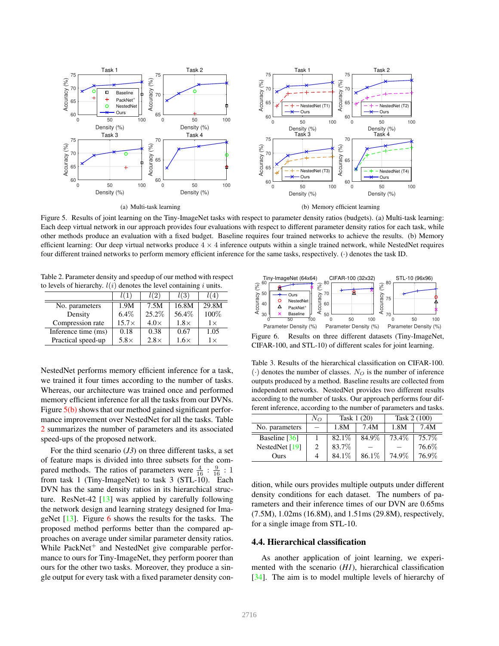

Figure 5. Results of joint learning on the Tiny-ImageNet tasks with respect to parameter density ratios (budgets). (a) Multi-task learning: Each deep virtual network in our approach provides four evaluations with respect to different parameter density ratios for each task, while other methods produce an evaluation with a fixed budget. Baseline requires four trained networks to achieve the results. (b) Memory efficient learning: Our deep virtual networks produce  $4 \times 4$  inference outputs within a single trained network, while NestedNet requires four different trained networks to perform memory efficient inference for the same tasks, respectively. (·) denotes the task ID.

Table 2. Parameter density and speedup of our method with respect to levels of hierarchy.  $l(i)$  denotes the level containing i units.

|                     |              | l(2)        | l(3)        | 4         |
|---------------------|--------------|-------------|-------------|-----------|
| No. parameters      | 1.9M         | 7.5M        | 16.8M       | 29.8M     |
| Density             | $6.4\%$      | 25.2%       | 56.4%       | 100%      |
| Compression rate    | $15.7\times$ | $4.0\times$ | $1.8\times$ | $1\times$ |
| Inference time (ms) | 0.18         | 0.38        | 0.67        | 1.05      |
| Practical speed-up  | $5.8\times$  | $2.8\times$ | $1.6\times$ | $1\times$ |

NestedNet performs memory efficient inference for a task, we trained it four times according to the number of tasks. Whereas, our architecture was trained once and performed memory efficient inference for all the tasks from our DVNs. Figure  $5(b)$  shows that our method gained significant performance improvement over NestedNet for all the tasks. Table 2 summarizes the number of parameters and its associated speed-ups of the proposed network.

For the third scenario (*J3*) on three different tasks, a set of feature maps is divided into three subsets for the compared methods. The ratios of parameters were  $\frac{4}{16}$  :  $\frac{9}{16}$  : 1 from task 1 (Tiny-ImageNet) to task 3 (STL-10). Each DVN has the same density ratios in its hierarchical structure. ResNet-42 [13] was applied by carefully following the network design and learning strategy designed for ImageNet [13]. Figure 6 shows the results for the tasks. The proposed method performs better than the compared approaches on average under similar parameter density ratios. While  $PackNet<sup>+</sup>$  and NestedNet give comparable performance to ours for Tiny-ImageNet, they perform poorer than ours for the other two tasks. Moreover, they produce a single output for every task with a fixed parameter density con-



Figure 6. Results on three different datasets (Tiny-ImageNet, CIFAR-100, and STL-10) of different scales for joint learning.

Table 3. Results of the hierarchical classification on CIFAR-100.  $\langle \cdot \rangle$  denotes the number of classes. N<sub>O</sub> is the number of inference outputs produced by a method. Baseline results are collected from independent networks. NestedNet provides two different results according to the number of tasks. Our approach performs four different inference, according to the number of parameters and tasks.

|                  | $N_{O}$ | Task 1 (20) |       | Task 2 (100) |       |
|------------------|---------|-------------|-------|--------------|-------|
| No. parameters   |         | 1.8M        | 7.4M  | 1.8M         | 7.4M  |
| Baseline [36]    |         | 82.1%       | 84.9% | 73.4%        | 75.7% |
| NestedNet $[19]$ |         | 83.7%       |       |              | 76.6% |
| Ours             |         | 84.1%       | 86.1% | 74.9%        | 76.9% |

dition, while ours provides multiple outputs under different density conditions for each dataset. The numbers of parameters and their inference times of our DVN are 0.65ms (7.5M), 1.02ms (16.8M), and 1.51ms (29.8M), respectively, for a single image from STL-10.

### 4.4. Hierarchical classification

As another application of joint learning, we experimented with the scenario (*H1*), hierarchical classification [34]. The aim is to model multiple levels of hierarchy of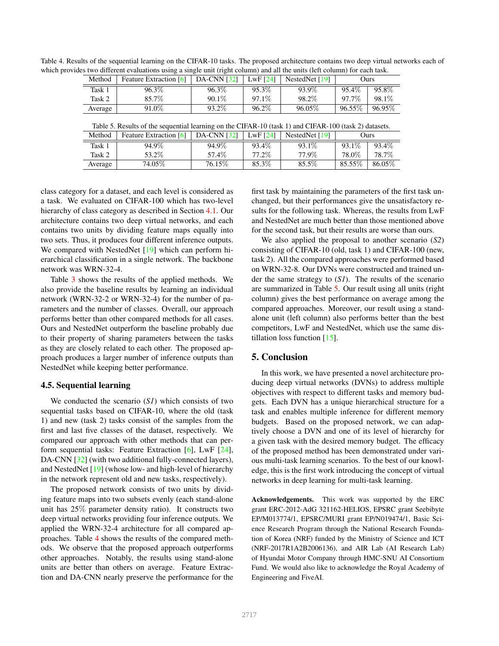| Table 4. Results of the sequential learning on the CIFAR-10 tasks. The proposed architecture contains two deep virtual networks each of |  |
|-----------------------------------------------------------------------------------------------------------------------------------------|--|
| which provides two different evaluations using a single unit (right column) and all the units (left column) for each task.              |  |

| Method  | Feature Extraction [6] | $ $ DA-CNN [32] $ $ | LwF $[24]$ | NestedNet $[19]$ | Ours   |        |
|---------|------------------------|---------------------|------------|------------------|--------|--------|
| Task 1  | 96.3%                  | 96.3%               | 95.3%      | 93.9%            | 95.4%  | 95.8%  |
| Task 2  | 85.7%                  | $90.1\%$            | 97.1\%     | 98.2%            | 97.7%  | 98.1\% |
| Average | 91.0%                  | 93.2\%              | 96.2%      | 96.05%           | 96.55% | 96.95% |

| Method  | <b>Feature Extraction</b> [6] | <b>DA-CNN</b> [32] | LwF $[24]$ | NestedNet $[19]$ | Ours   |        |
|---------|-------------------------------|--------------------|------------|------------------|--------|--------|
| Task 1  | 94.9%                         | 94.9%              | 93.4\%     | 93.1\%           | 93.1%  | 93.4\% |
| Task 2  | 53.2\%                        | 57.4%              | 77.2\%     | 77.9%            | 78.0%  | 78.7%  |
| Average | 74.05%                        | 76.15\%            | 85.3%      | 85.5%            | 85.55% | 86.05% |

class category for a dataset, and each level is considered as a task. We evaluated on CIFAR-100 which has two-level hierarchy of class category as described in Section 4.1. Our architecture contains two deep virtual networks, and each contains two units by dividing feature maps equally into two sets. Thus, it produces four different inference outputs. We compared with NestedNet [19] which can perform hierarchical classification in a single network. The backbone network was WRN-32-4.

Table 3 shows the results of the applied methods. We also provide the baseline results by learning an individual network (WRN-32-2 or WRN-32-4) for the number of parameters and the number of classes. Overall, our approach performs better than other compared methods for all cases. Ours and NestedNet outperform the baseline probably due to their property of sharing parameters between the tasks as they are closely related to each other. The proposed approach produces a larger number of inference outputs than NestedNet while keeping better performance.

## 4.5. Sequential learning

We conducted the scenario (*S1*) which consists of two sequential tasks based on CIFAR-10, where the old (task 1) and new (task 2) tasks consist of the samples from the first and last five classes of the dataset, respectively. We compared our approach with other methods that can perform sequential tasks: Feature Extraction [6], LwF [24], DA-CNN [32] (with two additional fully-connected layers), and NestedNet [19] (whose low- and high-level of hierarchy in the network represent old and new tasks, respectively).

The proposed network consists of two units by dividing feature maps into two subsets evenly (each stand-alone unit has 25% parameter density ratio). It constructs two deep virtual networks providing four inference outputs. We applied the WRN-32-4 architecture for all compared approaches. Table 4 shows the results of the compared methods. We observe that the proposed approach outperforms other approaches. Notably, the results using stand-alone units are better than others on average. Feature Extraction and DA-CNN nearly preserve the performance for the first task by maintaining the parameters of the first task unchanged, but their performances give the unsatisfactory results for the following task. Whereas, the results from LwF and NestedNet are much better than those mentioned above for the second task, but their results are worse than ours.

We also applied the proposal to another scenario (*S2*) consisting of CIFAR-10 (old, task 1) and CIFAR-100 (new, task 2). All the compared approaches were performed based on WRN-32-8. Our DVNs were constructed and trained under the same strategy to (*S1*). The results of the scenario are summarized in Table 5. Our result using all units (right column) gives the best performance on average among the compared approaches. Moreover, our result using a standalone unit (left column) also performs better than the best competitors, LwF and NestedNet, which use the same distillation loss function  $[15]$ .

#### 5. Conclusion

In this work, we have presented a novel architecture producing deep virtual networks (DVNs) to address multiple objectives with respect to different tasks and memory budgets. Each DVN has a unique hierarchical structure for a task and enables multiple inference for different memory budgets. Based on the proposed network, we can adaptively choose a DVN and one of its level of hierarchy for a given task with the desired memory budget. The efficacy of the proposed method has been demonstrated under various multi-task learning scenarios. To the best of our knowledge, this is the first work introducing the concept of virtual networks in deep learning for multi-task learning.

Acknowledgements. This work was supported by the ERC grant ERC-2012-AdG 321162-HELIOS, EPSRC grant Seebibyte EP/M013774/1, EPSRC/MURI grant EP/N019474/1, Basic Science Research Program through the National Research Foundation of Korea (NRF) funded by the Ministry of Science and ICT (NRF-2017R1A2B2006136), and AIR Lab (AI Research Lab) of Hyundai Motor Company through HMC-SNU AI Consortium Fund. We would also like to acknowledge the Royal Academy of Engineering and FiveAI.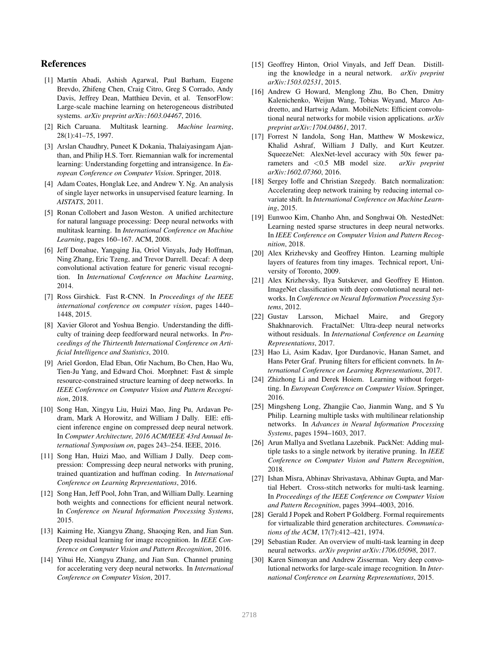## References

- [1] Martín Abadi, Ashish Agarwal, Paul Barham, Eugene Brevdo, Zhifeng Chen, Craig Citro, Greg S Corrado, Andy Davis, Jeffrey Dean, Matthieu Devin, et al. TensorFlow: Large-scale machine learning on heterogeneous distributed systems. *arXiv preprint arXiv:1603.04467*, 2016.
- [2] Rich Caruana. Multitask learning. *Machine learning*, 28(1):41–75, 1997.
- [3] Arslan Chaudhry, Puneet K Dokania, Thalaiyasingam Ajanthan, and Philip H.S. Torr. Riemannian walk for incremental learning: Understanding forgetting and intransigence. In *European Conference on Computer Vision*. Springer, 2018.
- [4] Adam Coates, Honglak Lee, and Andrew Y. Ng. An analysis of single layer networks in unsupervised feature learning. In *AISTATS*, 2011.
- [5] Ronan Collobert and Jason Weston. A unified architecture for natural language processing: Deep neural networks with multitask learning. In *International Conference on Machine Learning*, pages 160–167. ACM, 2008.
- [6] Jeff Donahue, Yangqing Jia, Oriol Vinyals, Judy Hoffman, Ning Zhang, Eric Tzeng, and Trevor Darrell. Decaf: A deep convolutional activation feature for generic visual recognition. In *International Conference on Machine Learning*, 2014.
- [7] Ross Girshick. Fast R-CNN. In *Proceedings of the IEEE international conference on computer vision*, pages 1440– 1448, 2015.
- [8] Xavier Glorot and Yoshua Bengio. Understanding the difficulty of training deep feedforward neural networks. In *Proceedings of the Thirteenth International Conference on Artificial Intelligence and Statistics*, 2010.
- [9] Ariel Gordon, Elad Eban, Ofir Nachum, Bo Chen, Hao Wu, Tien-Ju Yang, and Edward Choi. Morphnet: Fast & simple resource-constrained structure learning of deep networks. In *IEEE Conference on Computer Vision and Pattern Recognition*, 2018.
- [10] Song Han, Xingyu Liu, Huizi Mao, Jing Pu, Ardavan Pedram, Mark A Horowitz, and William J Dally. EIE: efficient inference engine on compressed deep neural network. In *Computer Architecture, 2016 ACM/IEEE 43rd Annual International Symposium on*, pages 243–254. IEEE, 2016.
- [11] Song Han, Huizi Mao, and William J Dally. Deep compression: Compressing deep neural networks with pruning, trained quantization and huffman coding. In *International Conference on Learning Representations*, 2016.
- [12] Song Han, Jeff Pool, John Tran, and William Dally. Learning both weights and connections for efficient neural network. In *Conference on Neural Information Processing Systems*, 2015.
- [13] Kaiming He, Xiangyu Zhang, Shaoqing Ren, and Jian Sun. Deep residual learning for image recognition. In *IEEE Conference on Computer Vision and Pattern Recognition*, 2016.
- [14] Yihui He, Xiangyu Zhang, and Jian Sun. Channel pruning for accelerating very deep neural networks. In *International Conference on Computer Vision*, 2017.
- [15] Geoffrey Hinton, Oriol Vinyals, and Jeff Dean. Distilling the knowledge in a neural network. *arXiv preprint arXiv:1503.02531*, 2015.
- [16] Andrew G Howard, Menglong Zhu, Bo Chen, Dmitry Kalenichenko, Weijun Wang, Tobias Weyand, Marco Andreetto, and Hartwig Adam. MobileNets: Efficient convolutional neural networks for mobile vision applications. *arXiv preprint arXiv:1704.04861*, 2017.
- [17] Forrest N Iandola, Song Han, Matthew W Moskewicz, Khalid Ashraf, William J Dally, and Kurt Keutzer. SqueezeNet: AlexNet-level accuracy with 50x fewer parameters and <0.5 MB model size. *arXiv preprint arXiv:1602.07360*, 2016.
- [18] Sergey Ioffe and Christian Szegedy. Batch normalization: Accelerating deep network training by reducing internal covariate shift. In *International Conference on Machine Learning*, 2015.
- [19] Eunwoo Kim, Chanho Ahn, and Songhwai Oh. NestedNet: Learning nested sparse structures in deep neural networks. In *IEEE Conference on Computer Vision and Pattern Recognition*, 2018.
- [20] Alex Krizhevsky and Geoffrey Hinton. Learning multiple layers of features from tiny images. Technical report, University of Toronto, 2009.
- [21] Alex Krizhevsky, Ilya Sutskever, and Geoffrey E Hinton. ImageNet classification with deep convolutional neural networks. In *Conference on Neural Information Processing Systems*, 2012.
- [22] Gustav Larsson, Michael Maire, and Gregory Shakhnarovich. FractalNet: Ultra-deep neural networks without residuals. In *International Conference on Learning Representations*, 2017.
- [23] Hao Li, Asim Kadav, Igor Durdanovic, Hanan Samet, and Hans Peter Graf. Pruning filters for efficient convnets. In *International Conference on Learning Representations*, 2017.
- [24] Zhizhong Li and Derek Hoiem. Learning without forgetting. In *European Conference on Computer Vision*. Springer, 2016.
- [25] Mingsheng Long, Zhangjie Cao, Jianmin Wang, and S Yu Philip. Learning multiple tasks with multilinear relationship networks. In *Advances in Neural Information Processing Systems*, pages 1594–1603, 2017.
- [26] Arun Mallya and Svetlana Lazebnik. PackNet: Adding multiple tasks to a single network by iterative pruning. In *IEEE Conference on Computer Vision and Pattern Recognition*, 2018.
- [27] Ishan Misra, Abhinav Shrivastava, Abhinav Gupta, and Martial Hebert. Cross-stitch networks for multi-task learning. In *Proceedings of the IEEE Conference on Computer Vision and Pattern Recognition*, pages 3994–4003, 2016.
- [28] Gerald J Popek and Robert P Goldberg. Formal requirements for virtualizable third generation architectures. *Communications of the ACM*, 17(7):412–421, 1974.
- [29] Sebastian Ruder. An overview of multi-task learning in deep neural networks. *arXiv preprint arXiv:1706.05098*, 2017.
- [30] Karen Simonyan and Andrew Zisserman. Very deep convolutional networks for large-scale image recognition. In *International Conference on Learning Representations*, 2015.